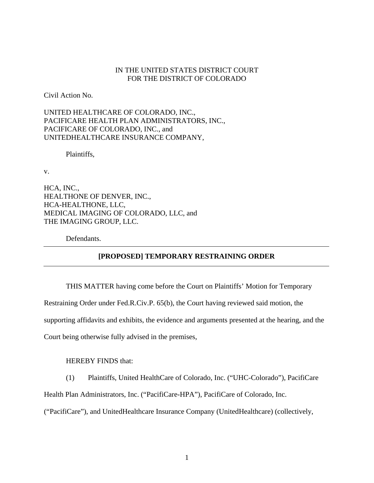## IN THE UNITED STATES DISTRICT COURT FOR THE DISTRICT OF COLORADO

Civil Action No.

UNITED HEALTHCARE OF COLORADO, INC., PACIFICARE HEALTH PLAN ADMINISTRATORS, INC., PACIFICARE OF COLORADO, INC., and UNITEDHEALTHCARE INSURANCE COMPANY,

Plaintiffs,

v.

HCA, INC., HEALTHONE OF DENVER, INC., HCA-HEALTHONE, LLC, MEDICAL IMAGING OF COLORADO, LLC, and THE IMAGING GROUP, LLC.

Defendants.

# **[PROPOSED] TEMPORARY RESTRAINING ORDER**

THIS MATTER having come before the Court on Plaintiffs' Motion for Temporary Restraining Order under Fed.R.Civ.P. 65(b), the Court having reviewed said motion, the supporting affidavits and exhibits, the evidence and arguments presented at the hearing, and the Court being otherwise fully advised in the premises,

HEREBY FINDS that:

(1) Plaintiffs, United HealthCare of Colorado, Inc. ("UHC-Colorado"), PacifiCare

Health Plan Administrators, Inc. ("PacifiCare-HPA"), PacifiCare of Colorado, Inc.

("PacifiCare"), and UnitedHealthcare Insurance Company (UnitedHealthcare) (collectively,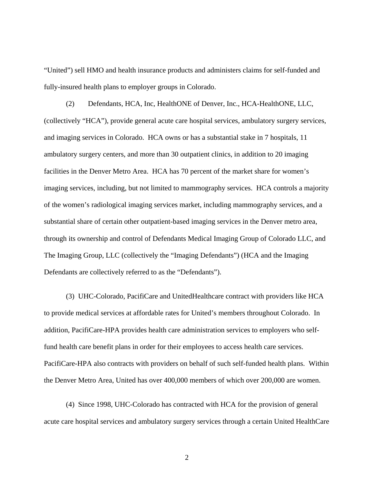"United") sell HMO and health insurance products and administers claims for self-funded and fully-insured health plans to employer groups in Colorado.

(2) Defendants, HCA, Inc, HealthONE of Denver, Inc., HCA-HealthONE, LLC, (collectively "HCA"), provide general acute care hospital services, ambulatory surgery services, and imaging services in Colorado. HCA owns or has a substantial stake in 7 hospitals, 11 ambulatory surgery centers, and more than 30 outpatient clinics, in addition to 20 imaging facilities in the Denver Metro Area. HCA has 70 percent of the market share for women's imaging services, including, but not limited to mammography services. HCA controls a majority of the women's radiological imaging services market, including mammography services, and a substantial share of certain other outpatient-based imaging services in the Denver metro area, through its ownership and control of Defendants Medical Imaging Group of Colorado LLC, and The Imaging Group, LLC (collectively the "Imaging Defendants") (HCA and the Imaging Defendants are collectively referred to as the "Defendants").

(3) UHC-Colorado, PacifiCare and UnitedHealthcare contract with providers like HCA to provide medical services at affordable rates for United's members throughout Colorado. In addition, PacifiCare-HPA provides health care administration services to employers who selffund health care benefit plans in order for their employees to access health care services. PacifiCare-HPA also contracts with providers on behalf of such self-funded health plans. Within the Denver Metro Area, United has over 400,000 members of which over 200,000 are women.

(4) Since 1998, UHC-Colorado has contracted with HCA for the provision of general acute care hospital services and ambulatory surgery services through a certain United HealthCare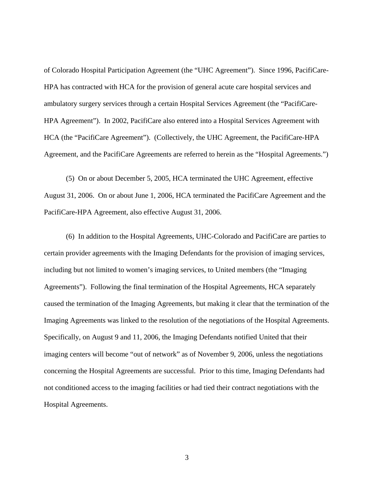of Colorado Hospital Participation Agreement (the "UHC Agreement"). Since 1996, PacifiCare-HPA has contracted with HCA for the provision of general acute care hospital services and ambulatory surgery services through a certain Hospital Services Agreement (the "PacifiCare-HPA Agreement"). In 2002, PacifiCare also entered into a Hospital Services Agreement with HCA (the "PacifiCare Agreement"). (Collectively, the UHC Agreement, the PacifiCare-HPA Agreement, and the PacifiCare Agreements are referred to herein as the "Hospital Agreements.")

(5) On or about December 5, 2005, HCA terminated the UHC Agreement, effective August 31, 2006. On or about June 1, 2006, HCA terminated the PacifiCare Agreement and the PacifiCare-HPA Agreement, also effective August 31, 2006.

(6) In addition to the Hospital Agreements, UHC-Colorado and PacifiCare are parties to certain provider agreements with the Imaging Defendants for the provision of imaging services, including but not limited to women's imaging services, to United members (the "Imaging Agreements"). Following the final termination of the Hospital Agreements, HCA separately caused the termination of the Imaging Agreements, but making it clear that the termination of the Imaging Agreements was linked to the resolution of the negotiations of the Hospital Agreements. Specifically, on August 9 and 11, 2006, the Imaging Defendants notified United that their imaging centers will become "out of network" as of November 9, 2006, unless the negotiations concerning the Hospital Agreements are successful. Prior to this time, Imaging Defendants had not conditioned access to the imaging facilities or had tied their contract negotiations with the Hospital Agreements.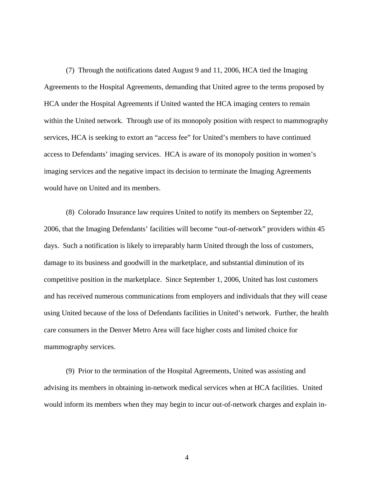(7) Through the notifications dated August 9 and 11, 2006, HCA tied the Imaging Agreements to the Hospital Agreements, demanding that United agree to the terms proposed by HCA under the Hospital Agreements if United wanted the HCA imaging centers to remain within the United network. Through use of its monopoly position with respect to mammography services, HCA is seeking to extort an "access fee" for United's members to have continued access to Defendants' imaging services. HCA is aware of its monopoly position in women's imaging services and the negative impact its decision to terminate the Imaging Agreements would have on United and its members.

(8) Colorado Insurance law requires United to notify its members on September 22, 2006, that the Imaging Defendants' facilities will become "out-of-network" providers within 45 days. Such a notification is likely to irreparably harm United through the loss of customers, damage to its business and goodwill in the marketplace, and substantial diminution of its competitive position in the marketplace. Since September 1, 2006, United has lost customers and has received numerous communications from employers and individuals that they will cease using United because of the loss of Defendants facilities in United's network. Further, the health care consumers in the Denver Metro Area will face higher costs and limited choice for mammography services.

(9) Prior to the termination of the Hospital Agreements, United was assisting and advising its members in obtaining in-network medical services when at HCA facilities. United would inform its members when they may begin to incur out-of-network charges and explain in-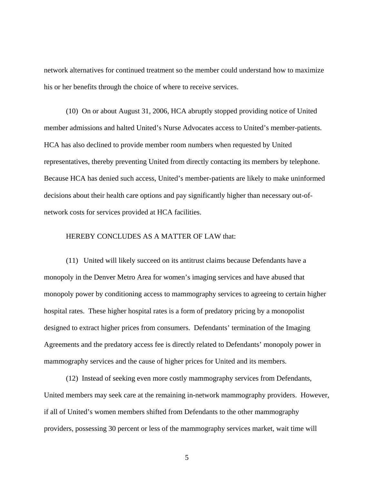network alternatives for continued treatment so the member could understand how to maximize his or her benefits through the choice of where to receive services.

(10) On or about August 31, 2006, HCA abruptly stopped providing notice of United member admissions and halted United's Nurse Advocates access to United's member-patients. HCA has also declined to provide member room numbers when requested by United representatives, thereby preventing United from directly contacting its members by telephone. Because HCA has denied such access, United's member-patients are likely to make uninformed decisions about their health care options and pay significantly higher than necessary out-ofnetwork costs for services provided at HCA facilities.

### HEREBY CONCLUDES AS A MATTER OF LAW that:

(11) United will likely succeed on its antitrust claims because Defendants have a monopoly in the Denver Metro Area for women's imaging services and have abused that monopoly power by conditioning access to mammography services to agreeing to certain higher hospital rates. These higher hospital rates is a form of predatory pricing by a monopolist designed to extract higher prices from consumers. Defendants' termination of the Imaging Agreements and the predatory access fee is directly related to Defendants' monopoly power in mammography services and the cause of higher prices for United and its members.

(12) Instead of seeking even more costly mammography services from Defendants, United members may seek care at the remaining in-network mammography providers. However, if all of United's women members shifted from Defendants to the other mammography providers, possessing 30 percent or less of the mammography services market, wait time will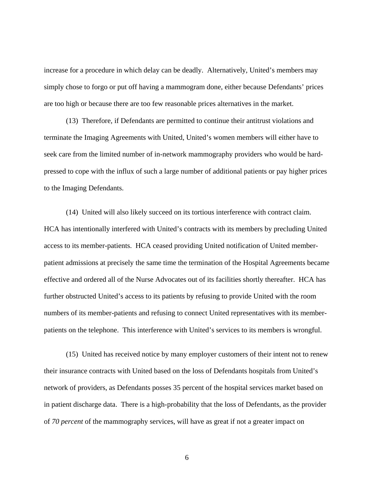increase for a procedure in which delay can be deadly. Alternatively, United's members may simply chose to forgo or put off having a mammogram done, either because Defendants' prices are too high or because there are too few reasonable prices alternatives in the market.

(13) Therefore, if Defendants are permitted to continue their antitrust violations and terminate the Imaging Agreements with United, United's women members will either have to seek care from the limited number of in-network mammography providers who would be hardpressed to cope with the influx of such a large number of additional patients or pay higher prices to the Imaging Defendants.

(14) United will also likely succeed on its tortious interference with contract claim. HCA has intentionally interfered with United's contracts with its members by precluding United access to its member-patients. HCA ceased providing United notification of United memberpatient admissions at precisely the same time the termination of the Hospital Agreements became effective and ordered all of the Nurse Advocates out of its facilities shortly thereafter. HCA has further obstructed United's access to its patients by refusing to provide United with the room numbers of its member-patients and refusing to connect United representatives with its memberpatients on the telephone. This interference with United's services to its members is wrongful.

(15) United has received notice by many employer customers of their intent not to renew their insurance contracts with United based on the loss of Defendants hospitals from United's network of providers, as Defendants posses 35 percent of the hospital services market based on in patient discharge data. There is a high-probability that the loss of Defendants, as the provider of *70 percent* of the mammography services, will have as great if not a greater impact on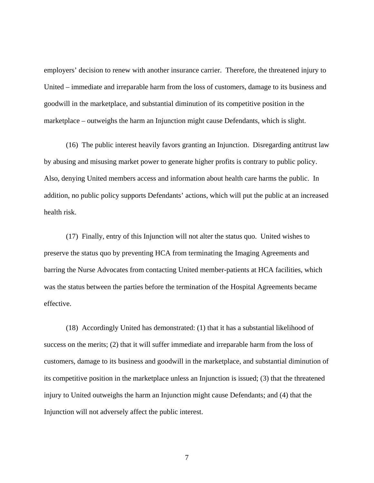employers' decision to renew with another insurance carrier. Therefore, the threatened injury to United – immediate and irreparable harm from the loss of customers, damage to its business and goodwill in the marketplace, and substantial diminution of its competitive position in the marketplace – outweighs the harm an Injunction might cause Defendants, which is slight.

(16) The public interest heavily favors granting an Injunction. Disregarding antitrust law by abusing and misusing market power to generate higher profits is contrary to public policy. Also, denying United members access and information about health care harms the public. In addition, no public policy supports Defendants' actions, which will put the public at an increased health risk.

(17) Finally, entry of this Injunction will not alter the status quo. United wishes to preserve the status quo by preventing HCA from terminating the Imaging Agreements and barring the Nurse Advocates from contacting United member-patients at HCA facilities, which was the status between the parties before the termination of the Hospital Agreements became effective.

(18) Accordingly United has demonstrated: (1) that it has a substantial likelihood of success on the merits; (2) that it will suffer immediate and irreparable harm from the loss of customers, damage to its business and goodwill in the marketplace, and substantial diminution of its competitive position in the marketplace unless an Injunction is issued; (3) that the threatened injury to United outweighs the harm an Injunction might cause Defendants; and (4) that the Injunction will not adversely affect the public interest.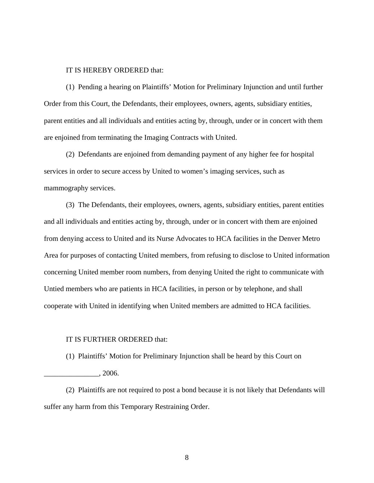## IT IS HEREBY ORDERED that:

(1) Pending a hearing on Plaintiffs' Motion for Preliminary Injunction and until further Order from this Court, the Defendants, their employees, owners, agents, subsidiary entities, parent entities and all individuals and entities acting by, through, under or in concert with them are enjoined from terminating the Imaging Contracts with United.

(2) Defendants are enjoined from demanding payment of any higher fee for hospital services in order to secure access by United to women's imaging services, such as mammography services.

(3) The Defendants, their employees, owners, agents, subsidiary entities, parent entities and all individuals and entities acting by, through, under or in concert with them are enjoined from denying access to United and its Nurse Advocates to HCA facilities in the Denver Metro Area for purposes of contacting United members, from refusing to disclose to United information concerning United member room numbers, from denying United the right to communicate with Untied members who are patients in HCA facilities, in person or by telephone, and shall cooperate with United in identifying when United members are admitted to HCA facilities.

#### IT IS FURTHER ORDERED that:

(1) Plaintiffs' Motion for Preliminary Injunction shall be heard by this Court on

\_\_\_\_\_\_\_\_\_\_\_\_\_\_\_, 2006.

(2) Plaintiffs are not required to post a bond because it is not likely that Defendants will suffer any harm from this Temporary Restraining Order.